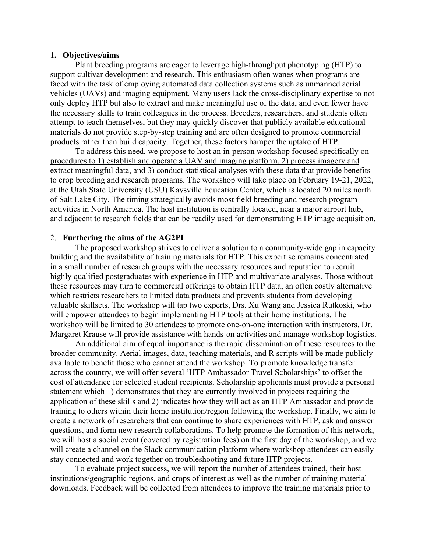### **1. Objectives/aims**

Plant breeding programs are eager to leverage high-throughput phenotyping (HTP) to support cultivar development and research. This enthusiasm often wanes when programs are faced with the task of employing automated data collection systems such as unmanned aerial vehicles (UAVs) and imaging equipment. Many users lack the cross-disciplinary expertise to not only deploy HTP but also to extract and make meaningful use of the data, and even fewer have the necessary skills to train colleagues in the process. Breeders, researchers, and students often attempt to teach themselves, but they may quickly discover that publicly available educational materials do not provide step-by-step training and are often designed to promote commercial products rather than build capacity. Together, these factors hamper the uptake of HTP.

To address this need, we propose to host an in-person workshop focused specifically on procedures to 1) establish and operate a UAV and imaging platform, 2) process imagery and extract meaningful data, and 3) conduct statistical analyses with these data that provide benefits to crop breeding and research programs. The workshop will take place on February 19-21, 2022, at the Utah State University (USU) Kaysville Education Center, which is located 20 miles north of Salt Lake City. The timing strategically avoids most field breeding and research program activities in North America. The host institution is centrally located, near a major airport hub, and adjacent to research fields that can be readily used for demonstrating HTP image acquisition.

### 2. **Furthering the aims of the AG2PI**

The proposed workshop strives to deliver a solution to a community-wide gap in capacity building and the availability of training materials for HTP. This expertise remains concentrated in a small number of research groups with the necessary resources and reputation to recruit highly qualified postgraduates with experience in HTP and multivariate analyses. Those without these resources may turn to commercial offerings to obtain HTP data, an often costly alternative which restricts researchers to limited data products and prevents students from developing valuable skillsets. The workshop will tap two experts, Drs. Xu Wang and Jessica Rutkoski, who will empower attendees to begin implementing HTP tools at their home institutions. The workshop will be limited to 30 attendees to promote one-on-one interaction with instructors. Dr. Margaret Krause will provide assistance with hands-on activities and manage workshop logistics.

An additional aim of equal importance is the rapid dissemination of these resources to the broader community. Aerial images, data, teaching materials, and R scripts will be made publicly available to benefit those who cannot attend the workshop. To promote knowledge transfer across the country, we will offer several 'HTP Ambassador Travel Scholarships' to offset the cost of attendance for selected student recipients. Scholarship applicants must provide a personal statement which 1) demonstrates that they are currently involved in projects requiring the application of these skills and 2) indicates how they will act as an HTP Ambassador and provide training to others within their home institution/region following the workshop. Finally, we aim to create a network of researchers that can continue to share experiences with HTP, ask and answer questions, and form new research collaborations. To help promote the formation of this network, we will host a social event (covered by registration fees) on the first day of the workshop, and we will create a channel on the Slack communication platform where workshop attendees can easily stay connected and work together on troubleshooting and future HTP projects.

To evaluate project success, we will report the number of attendees trained, their host institutions/geographic regions, and crops of interest as well as the number of training material downloads. Feedback will be collected from attendees to improve the training materials prior to